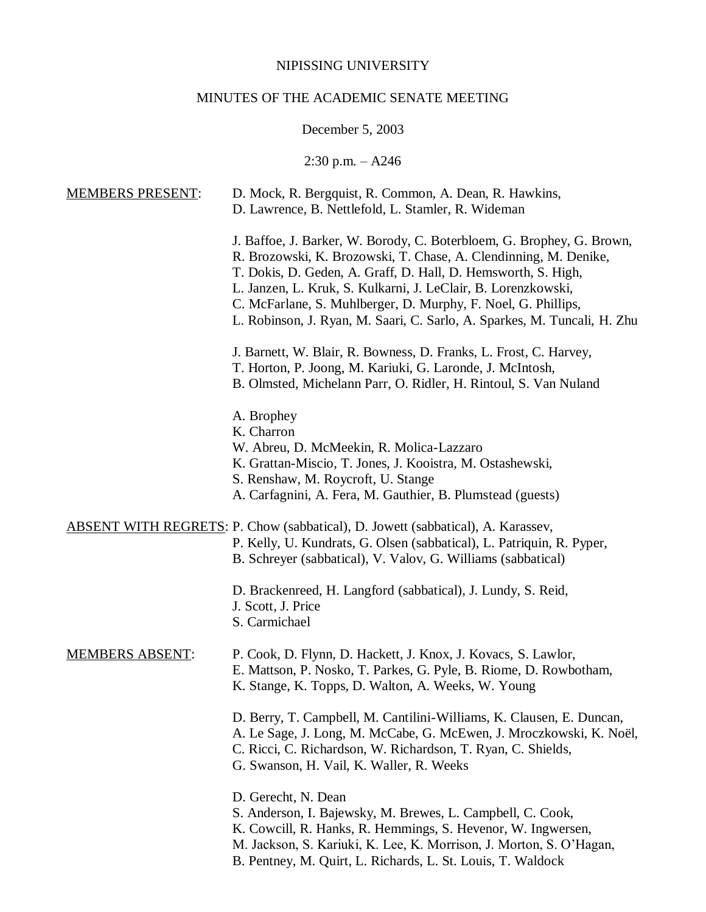### NIPISSING UNIVERSITY

# MINUTES OF THE ACADEMIC SENATE MEETING

# December 5, 2003

2:30 p.m. – A246

| <b>MEMBERS PRESENT:</b> | D. Mock, R. Bergquist, R. Common, A. Dean, R. Hawkins,<br>D. Lawrence, B. Nettlefold, L. Stamler, R. Wideman                                                                                                                                                                                                                                                                                                             |
|-------------------------|--------------------------------------------------------------------------------------------------------------------------------------------------------------------------------------------------------------------------------------------------------------------------------------------------------------------------------------------------------------------------------------------------------------------------|
|                         | J. Baffoe, J. Barker, W. Borody, C. Boterbloem, G. Brophey, G. Brown,<br>R. Brozowski, K. Brozowski, T. Chase, A. Clendinning, M. Denike,<br>T. Dokis, D. Geden, A. Graff, D. Hall, D. Hemsworth, S. High,<br>L. Janzen, L. Kruk, S. Kulkarni, J. LeClair, B. Lorenzkowski,<br>C. McFarlane, S. Muhlberger, D. Murphy, F. Noel, G. Phillips,<br>L. Robinson, J. Ryan, M. Saari, C. Sarlo, A. Sparkes, M. Tuncali, H. Zhu |
|                         | J. Barnett, W. Blair, R. Bowness, D. Franks, L. Frost, C. Harvey,<br>T. Horton, P. Joong, M. Kariuki, G. Laronde, J. McIntosh,<br>B. Olmsted, Michelann Parr, O. Ridler, H. Rintoul, S. Van Nuland                                                                                                                                                                                                                       |
|                         | A. Brophey<br>K. Charron<br>W. Abreu, D. McMeekin, R. Molica-Lazzaro<br>K. Grattan-Miscio, T. Jones, J. Kooistra, M. Ostashewski,<br>S. Renshaw, M. Roycroft, U. Stange<br>A. Carfagnini, A. Fera, M. Gauthier, B. Plumstead (guests)                                                                                                                                                                                    |
|                         | ABSENT WITH REGRETS: P. Chow (sabbatical), D. Jowett (sabbatical), A. Karassev,<br>P. Kelly, U. Kundrats, G. Olsen (sabbatical), L. Patriquin, R. Pyper,<br>B. Schreyer (sabbatical), V. Valov, G. Williams (sabbatical)                                                                                                                                                                                                 |
|                         | D. Brackenreed, H. Langford (sabbatical), J. Lundy, S. Reid,<br>J. Scott, J. Price<br>S. Carmichael                                                                                                                                                                                                                                                                                                                      |
| <b>MEMBERS ABSENT:</b>  | P. Cook, D. Flynn, D. Hackett, J. Knox, J. Kovacs, S. Lawlor,<br>E. Mattson, P. Nosko, T. Parkes, G. Pyle, B. Riome, D. Rowbotham,<br>K. Stange, K. Topps, D. Walton, A. Weeks, W. Young                                                                                                                                                                                                                                 |
|                         | D. Berry, T. Campbell, M. Cantilini-Williams, K. Clausen, E. Duncan,<br>A. Le Sage, J. Long, M. McCabe, G. McEwen, J. Mroczkowski, K. Noël,<br>C. Ricci, C. Richardson, W. Richardson, T. Ryan, C. Shields,<br>G. Swanson, H. Vail, K. Waller, R. Weeks                                                                                                                                                                  |
|                         | D. Gerecht, N. Dean<br>S. Anderson, I. Bajewsky, M. Brewes, L. Campbell, C. Cook,<br>K. Cowcill, R. Hanks, R. Hemmings, S. Hevenor, W. Ingwersen,<br>M. Jackson, S. Kariuki, K. Lee, K. Morrison, J. Morton, S. O'Hagan,<br>B. Pentney, M. Quirt, L. Richards, L. St. Louis, T. Waldock                                                                                                                                  |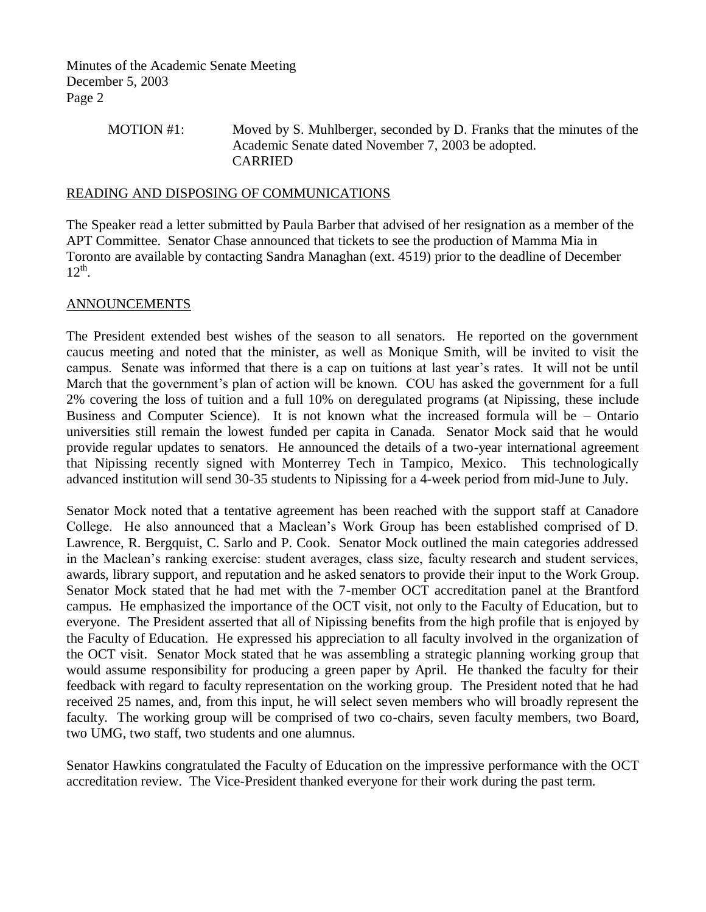> MOTION #1: Moved by S. Muhlberger, seconded by D. Franks that the minutes of the Academic Senate dated November 7, 2003 be adopted. CARRIED

#### READING AND DISPOSING OF COMMUNICATIONS

The Speaker read a letter submitted by Paula Barber that advised of her resignation as a member of the APT Committee. Senator Chase announced that tickets to see the production of Mamma Mia in Toronto are available by contacting Sandra Managhan (ext. 4519) prior to the deadline of December  $12^{th}$ .

#### ANNOUNCEMENTS

The President extended best wishes of the season to all senators. He reported on the government caucus meeting and noted that the minister, as well as Monique Smith, will be invited to visit the campus. Senate was informed that there is a cap on tuitions at last year's rates. It will not be until March that the government's plan of action will be known. COU has asked the government for a full 2% covering the loss of tuition and a full 10% on deregulated programs (at Nipissing, these include Business and Computer Science). It is not known what the increased formula will be – Ontario universities still remain the lowest funded per capita in Canada. Senator Mock said that he would provide regular updates to senators. He announced the details of a two-year international agreement that Nipissing recently signed with Monterrey Tech in Tampico, Mexico. This technologically advanced institution will send 30-35 students to Nipissing for a 4-week period from mid-June to July.

Senator Mock noted that a tentative agreement has been reached with the support staff at Canadore College. He also announced that a Maclean's Work Group has been established comprised of D. Lawrence, R. Bergquist, C. Sarlo and P. Cook. Senator Mock outlined the main categories addressed in the Maclean's ranking exercise: student averages, class size, faculty research and student services, awards, library support, and reputation and he asked senators to provide their input to the Work Group. Senator Mock stated that he had met with the 7-member OCT accreditation panel at the Brantford campus. He emphasized the importance of the OCT visit, not only to the Faculty of Education, but to everyone. The President asserted that all of Nipissing benefits from the high profile that is enjoyed by the Faculty of Education. He expressed his appreciation to all faculty involved in the organization of the OCT visit. Senator Mock stated that he was assembling a strategic planning working group that would assume responsibility for producing a green paper by April. He thanked the faculty for their feedback with regard to faculty representation on the working group. The President noted that he had received 25 names, and, from this input, he will select seven members who will broadly represent the faculty. The working group will be comprised of two co-chairs, seven faculty members, two Board, two UMG, two staff, two students and one alumnus.

Senator Hawkins congratulated the Faculty of Education on the impressive performance with the OCT accreditation review. The Vice-President thanked everyone for their work during the past term.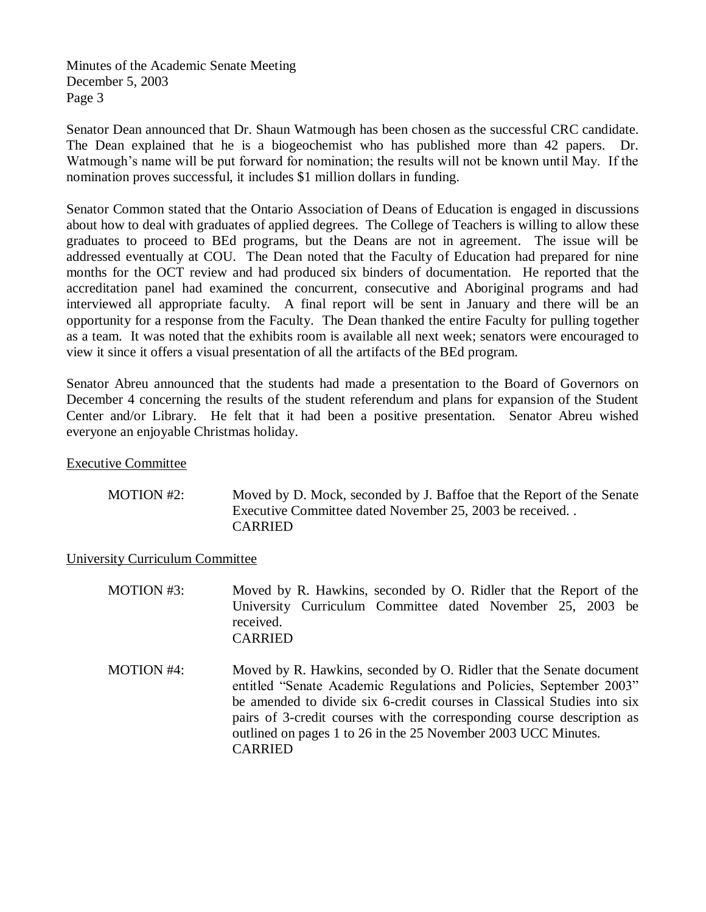Senator Dean announced that Dr. Shaun Watmough has been chosen as the successful CRC candidate. The Dean explained that he is a biogeochemist who has published more than 42 papers. Dr. Watmough's name will be put forward for nomination; the results will not be known until May. If the nomination proves successful, it includes \$1 million dollars in funding.

Senator Common stated that the Ontario Association of Deans of Education is engaged in discussions about how to deal with graduates of applied degrees. The College of Teachers is willing to allow these graduates to proceed to BEd programs, but the Deans are not in agreement. The issue will be addressed eventually at COU. The Dean noted that the Faculty of Education had prepared for nine months for the OCT review and had produced six binders of documentation. He reported that the accreditation panel had examined the concurrent, consecutive and Aboriginal programs and had interviewed all appropriate faculty. A final report will be sent in January and there will be an opportunity for a response from the Faculty. The Dean thanked the entire Faculty for pulling together as a team. It was noted that the exhibits room is available all next week; senators were encouraged to view it since it offers a visual presentation of all the artifacts of the BEd program.

Senator Abreu announced that the students had made a presentation to the Board of Governors on December 4 concerning the results of the student referendum and plans for expansion of the Student Center and/or Library. He felt that it had been a positive presentation. Senator Abreu wished everyone an enjoyable Christmas holiday.

Executive Committee

| MOTION #2: | Moved by D. Mock, seconded by J. Baffoe that the Report of the Senate |
|------------|-----------------------------------------------------------------------|
|            | Executive Committee dated November 25, 2003 be received               |
|            | <b>CARRIED</b>                                                        |

University Curriculum Committee

| <b>MOTION #3:</b> | Moved by R. Hawkins, seconded by O. Ridler that the Report of the<br>University Curriculum Committee dated November 25, 2003 be<br>received.<br><b>CARRIED</b>                                                                                                                                                                                                                      |
|-------------------|-------------------------------------------------------------------------------------------------------------------------------------------------------------------------------------------------------------------------------------------------------------------------------------------------------------------------------------------------------------------------------------|
| MOTION #4:        | Moved by R. Hawkins, seconded by O. Ridler that the Senate document<br>entitled "Senate Academic Regulations and Policies, September 2003"<br>be amended to divide six 6-credit courses in Classical Studies into six<br>pairs of 3-credit courses with the corresponding course description as<br>outlined on pages 1 to 26 in the 25 November 2003 UCC Minutes.<br><b>CARRIED</b> |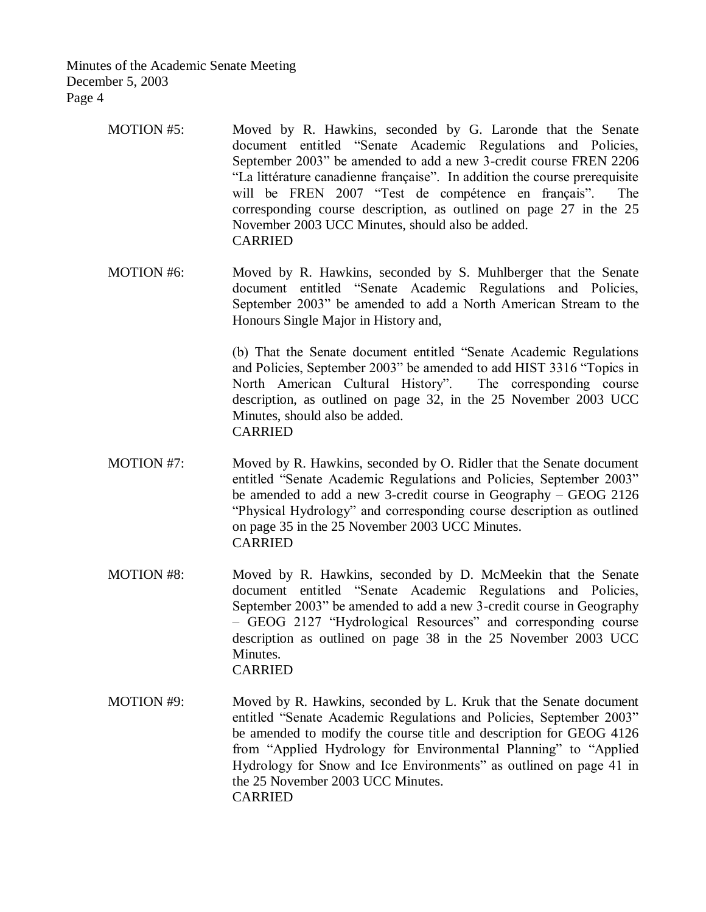- MOTION #5: Moved by R. Hawkins, seconded by G. Laronde that the Senate document entitled "Senate Academic Regulations and Policies, September 2003" be amended to add a new 3-credit course FREN 2206 "La littérature canadienne française". In addition the course prerequisite will be FREN 2007 "Test de compétence en français". The corresponding course description, as outlined on page 27 in the 25 November 2003 UCC Minutes, should also be added. CARRIED
- MOTION #6: Moved by R. Hawkins, seconded by S. Muhlberger that the Senate document entitled "Senate Academic Regulations and Policies, September 2003" be amended to add a North American Stream to the Honours Single Major in History and,

(b) That the Senate document entitled "Senate Academic Regulations and Policies, September 2003" be amended to add HIST 3316 "Topics in North American Cultural History". The corresponding course description, as outlined on page 32, in the 25 November 2003 UCC Minutes, should also be added. CARRIED

- MOTION #7: Moved by R. Hawkins, seconded by O. Ridler that the Senate document entitled "Senate Academic Regulations and Policies, September 2003" be amended to add a new 3-credit course in Geography – GEOG 2126 "Physical Hydrology" and corresponding course description as outlined on page 35 in the 25 November 2003 UCC Minutes. CARRIED
- MOTION #8: Moved by R. Hawkins, seconded by D. McMeekin that the Senate document entitled "Senate Academic Regulations and Policies, September 2003" be amended to add a new 3-credit course in Geography – GEOG 2127 "Hydrological Resources" and corresponding course description as outlined on page 38 in the 25 November 2003 UCC Minutes. CARRIED
- MOTION #9: Moved by R. Hawkins, seconded by L. Kruk that the Senate document entitled "Senate Academic Regulations and Policies, September 2003" be amended to modify the course title and description for GEOG 4126 from "Applied Hydrology for Environmental Planning" to "Applied Hydrology for Snow and Ice Environments" as outlined on page 41 in the 25 November 2003 UCC Minutes. CARRIED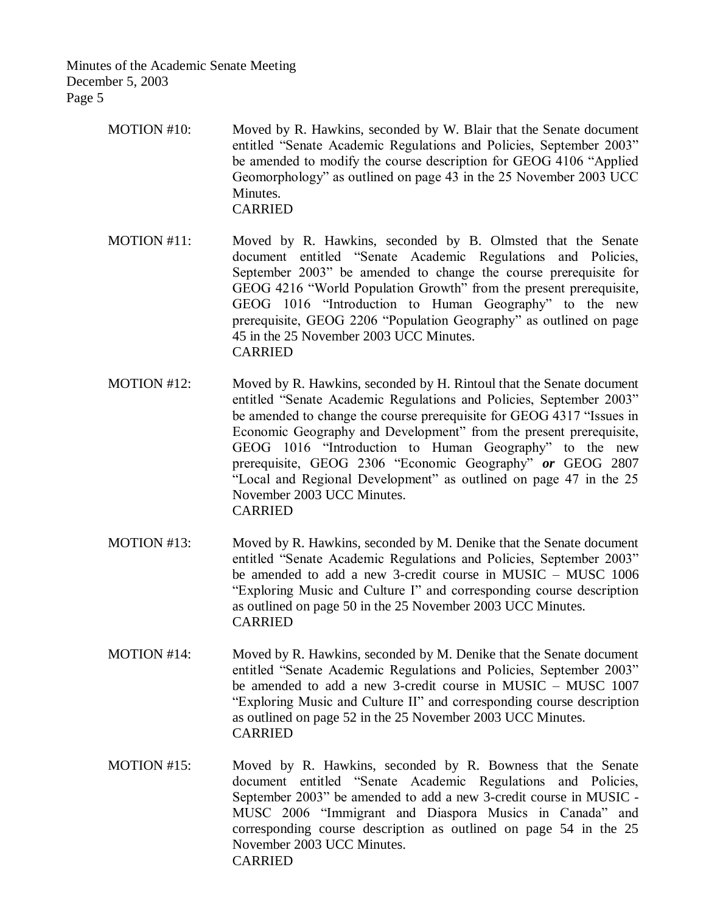- MOTION #10: Moved by R. Hawkins, seconded by W. Blair that the Senate document entitled "Senate Academic Regulations and Policies, September 2003" be amended to modify the course description for GEOG 4106 "Applied Geomorphology" as outlined on page 43 in the 25 November 2003 UCC Minutes. CARRIED
- MOTION #11: Moved by R. Hawkins, seconded by B. Olmsted that the Senate document entitled "Senate Academic Regulations and Policies, September 2003" be amended to change the course prerequisite for GEOG 4216 "World Population Growth" from the present prerequisite, GEOG 1016 "Introduction to Human Geography" to the new prerequisite, GEOG 2206 "Population Geography" as outlined on page 45 in the 25 November 2003 UCC Minutes. CARRIED
- MOTION #12: Moved by R. Hawkins, seconded by H. Rintoul that the Senate document entitled "Senate Academic Regulations and Policies, September 2003" be amended to change the course prerequisite for GEOG 4317 "Issues in Economic Geography and Development" from the present prerequisite, GEOG 1016 "Introduction to Human Geography" to the new prerequisite, GEOG 2306 "Economic Geography" *or* GEOG 2807 "Local and Regional Development" as outlined on page 47 in the 25 November 2003 UCC Minutes. CARRIED
- MOTION #13: Moved by R. Hawkins, seconded by M. Denike that the Senate document entitled "Senate Academic Regulations and Policies, September 2003" be amended to add a new 3-credit course in MUSIC – MUSC 1006 "Exploring Music and Culture I" and corresponding course description as outlined on page 50 in the 25 November 2003 UCC Minutes. CARRIED
- MOTION #14: Moved by R. Hawkins, seconded by M. Denike that the Senate document entitled "Senate Academic Regulations and Policies, September 2003" be amended to add a new 3-credit course in MUSIC – MUSC 1007 "Exploring Music and Culture II" and corresponding course description as outlined on page 52 in the 25 November 2003 UCC Minutes. CARRIED
- MOTION #15: Moved by R. Hawkins, seconded by R. Bowness that the Senate document entitled "Senate Academic Regulations and Policies, September 2003" be amended to add a new 3-credit course in MUSIC - MUSC 2006 "Immigrant and Diaspora Musics in Canada" and corresponding course description as outlined on page 54 in the 25 November 2003 UCC Minutes. CARRIED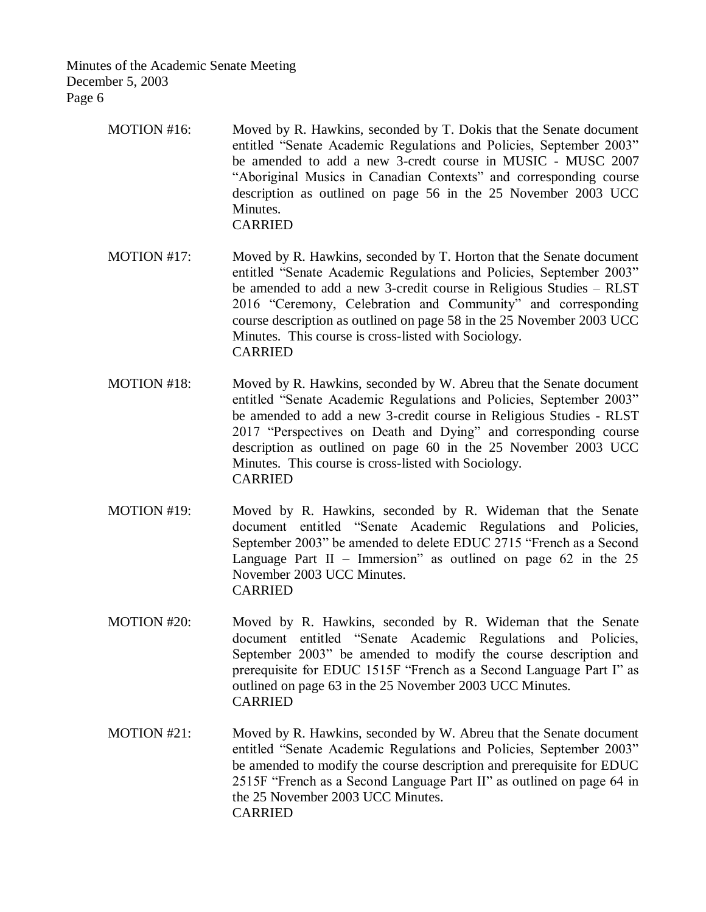- MOTION #16: Moved by R. Hawkins, seconded by T. Dokis that the Senate document entitled "Senate Academic Regulations and Policies, September 2003" be amended to add a new 3-credt course in MUSIC - MUSC 2007 "Aboriginal Musics in Canadian Contexts" and corresponding course description as outlined on page 56 in the 25 November 2003 UCC Minutes. CARRIED
- MOTION #17: Moved by R. Hawkins, seconded by T. Horton that the Senate document entitled "Senate Academic Regulations and Policies, September 2003" be amended to add a new 3-credit course in Religious Studies – RLST 2016 "Ceremony, Celebration and Community" and corresponding course description as outlined on page 58 in the 25 November 2003 UCC Minutes. This course is cross-listed with Sociology. CARRIED
- MOTION #18: Moved by R. Hawkins, seconded by W. Abreu that the Senate document entitled "Senate Academic Regulations and Policies, September 2003" be amended to add a new 3-credit course in Religious Studies - RLST 2017 "Perspectives on Death and Dying" and corresponding course description as outlined on page 60 in the 25 November 2003 UCC Minutes. This course is cross-listed with Sociology. CARRIED
- MOTION #19: Moved by R. Hawkins, seconded by R. Wideman that the Senate document entitled "Senate Academic Regulations and Policies, September 2003" be amended to delete EDUC 2715 "French as a Second Language Part  $II$  – Immersion" as outlined on page 62 in the 25 November 2003 UCC Minutes. CARRIED
- MOTION #20: Moved by R. Hawkins, seconded by R. Wideman that the Senate document entitled "Senate Academic Regulations and Policies, September 2003" be amended to modify the course description and prerequisite for EDUC 1515F "French as a Second Language Part I" as outlined on page 63 in the 25 November 2003 UCC Minutes. CARRIED
- MOTION #21: Moved by R. Hawkins, seconded by W. Abreu that the Senate document entitled "Senate Academic Regulations and Policies, September 2003" be amended to modify the course description and prerequisite for EDUC 2515F "French as a Second Language Part II" as outlined on page 64 in the 25 November 2003 UCC Minutes. CARRIED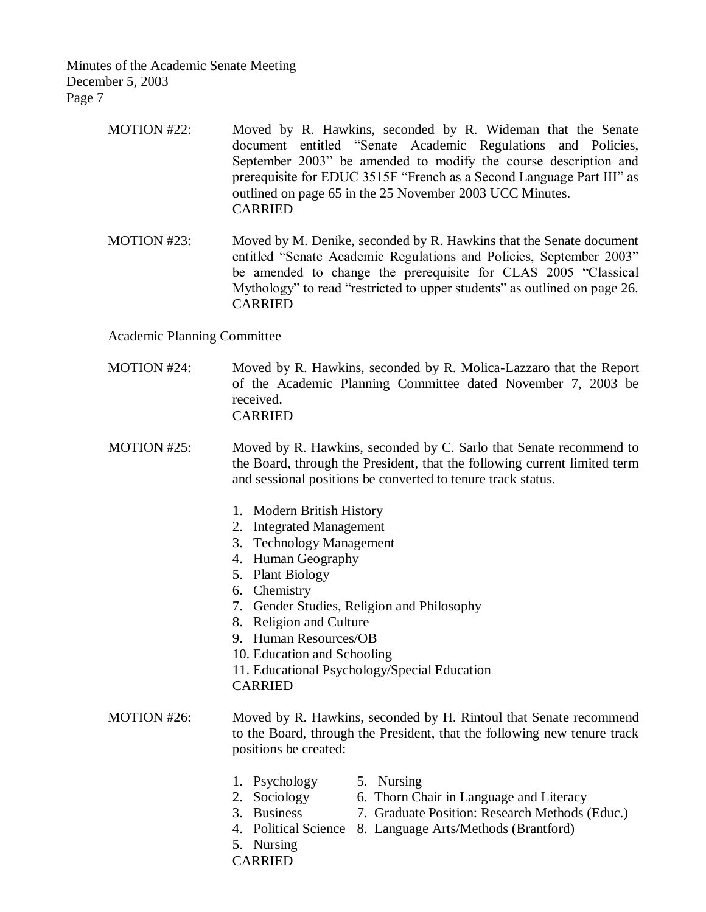- MOTION #22: Moved by R. Hawkins, seconded by R. Wideman that the Senate document entitled "Senate Academic Regulations and Policies, September 2003" be amended to modify the course description and prerequisite for EDUC 3515F "French as a Second Language Part III" as outlined on page 65 in the 25 November 2003 UCC Minutes. CARRIED
- MOTION #23: Moved by M. Denike, seconded by R. Hawkins that the Senate document entitled "Senate Academic Regulations and Policies, September 2003" be amended to change the prerequisite for CLAS 2005 "Classical Mythology" to read "restricted to upper students" as outlined on page 26. CARRIED

Academic Planning Committee

- MOTION #24: Moved by R. Hawkins, seconded by R. Molica-Lazzaro that the Report of the Academic Planning Committee dated November 7, 2003 be received. CARRIED
- MOTION #25: Moved by R. Hawkins, seconded by C. Sarlo that Senate recommend to the Board, through the President, that the following current limited term and sessional positions be converted to tenure track status.
	- 1. Modern British History
	- 2. Integrated Management
	- 3. Technology Management
	- 4. Human Geography
	- 5. Plant Biology
	- 6. Chemistry
	- 7. Gender Studies, Religion and Philosophy
	- 8. Religion and Culture
	- 9. Human Resources/OB
	- 10. Education and Schooling
	- 11. Educational Psychology/Special Education

CARRIED

- MOTION #26: Moved by R. Hawkins, seconded by H. Rintoul that Senate recommend to the Board, through the President, that the following new tenure track positions be created:
	- 1. Psychology 5. Nursing
		-
	- 2. Sociology 6. Thorn Chair in Language and Literacy
	- 3. Business 7. Graduate Position: Research Methods (Educ.)
	- 4. Political Science 8. Language Arts/Methods (Brantford)
	- 5. Nursing
	- CARRIED